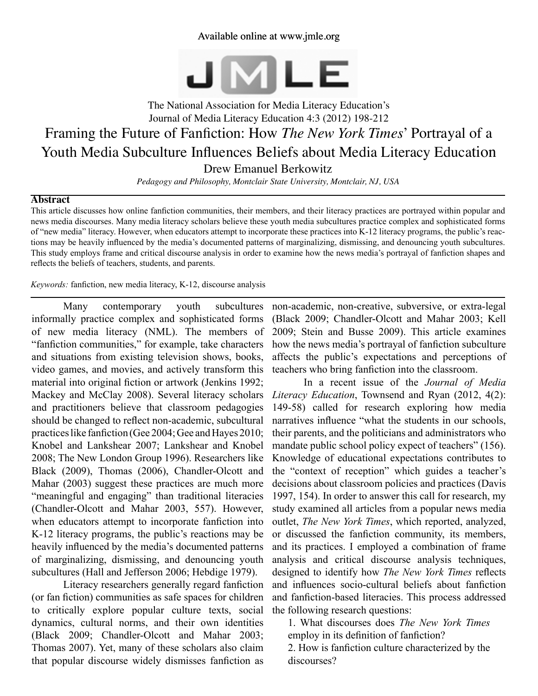# Available online at www.jmle.org



The National Association for Media Literacy Education's Journal of Media Literacy Education 4:3 (2012) 198-212 Framing the Future of Fanfiction: How *The New York Times*' Portrayal of a Youth Media Subculture Influences Beliefs about Media Literacy Education Drew Emanuel Berkowitz

*Pedagogy and Philosophy, Montclair State University, Montclair, NJ, USA*

#### **Abstract**

This article discusses how online fanfiction communities, their members, and their literacy practices are portrayed within popular and news media discourses. Many media literacy scholars believe these youth media subcultures practice complex and sophisticated forms of "new media" literacy. However, when educators attempt to incorporate these practices into K-12 literacy programs, the public's reactions may be heavily influenced by the media's documented patterns of marginalizing, dismissing, and denouncing youth subcultures. This study employs frame and critical discourse analysis in order to examine how the news media's portrayal of fanfiction shapes and reflects the beliefs of teachers, students, and parents.

*Keywords:* fanfiction, new media literacy, K-12, discourse analysis

Many contemporary youth subcultures informally practice complex and sophisticated forms of new media literacy (NML). The members of "fanfiction communities," for example, take characters and situations from existing television shows, books, video games, and movies, and actively transform this material into original fiction or artwork (Jenkins 1992; Mackey and McClay 2008). Several literacy scholars and practitioners believe that classroom pedagogies should be changed to reflect non-academic, subcultural practices like fanfiction (Gee 2004; Gee and Hayes 2010; Knobel and Lankshear 2007; Lankshear and Knobel 2008; The New London Group 1996). Researchers like Black (2009), Thomas (2006), Chandler-Olcott and Mahar (2003) suggest these practices are much more "meaningful and engaging" than traditional literacies (Chandler-Olcott and Mahar 2003, 557). However, when educators attempt to incorporate fanfiction into K-12 literacy programs, the public's reactions may be heavily influenced by the media's documented patterns of marginalizing, dismissing, and denouncing youth subcultures (Hall and Jefferson 2006; Hebdige 1979).

Literacy researchers generally regard fanfiction (or fan fiction) communities as safe spaces for children to critically explore popular culture texts, social dynamics, cultural norms, and their own identities (Black 2009; Chandler-Olcott and Mahar 2003; Thomas 2007). Yet, many of these scholars also claim that popular discourse widely dismisses fanfiction as

non-academic, non-creative, subversive, or extra-legal (Black 2009; Chandler-Olcott and Mahar 2003; Kell 2009; Stein and Busse 2009). This article examines how the news media's portrayal of fanfiction subculture affects the public's expectations and perceptions of teachers who bring fanfiction into the classroom.

In a recent issue of the *Journal of Media Literacy Education*, Townsend and Ryan (2012, 4(2): 149-58) called for research exploring how media narratives influence "what the students in our schools, their parents, and the politicians and administrators who mandate public school policy expect of teachers" (156). Knowledge of educational expectations contributes to the "context of reception" which guides a teacher's decisions about classroom policies and practices (Davis 1997, 154). In order to answer this call for research, my study examined all articles from a popular news media outlet, *The New York Times*, which reported, analyzed, or discussed the fanfiction community, its members, and its practices. I employed a combination of frame analysis and critical discourse analysis techniques, designed to identify how *The New York Times* reflects and influences socio-cultural beliefs about fanfiction and fanfiction-based literacies. This process addressed the following research questions:

1. What discourses does *The New York Times*  employ in its definition of fanfiction?

2. How is fanfiction culture characterized by the discourses?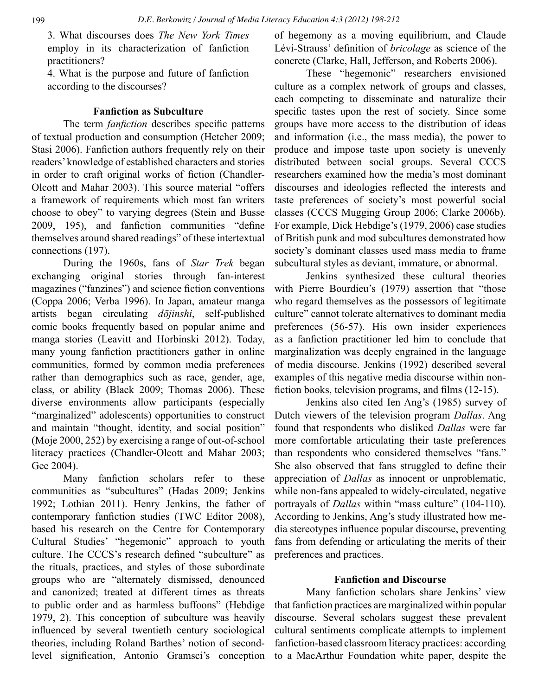3. What discourses does *The New York Times* employ in its characterization of fanfiction practitioners?

4. What is the purpose and future of fanfiction according to the discourses?

#### **Fanfiction as Subculture**

The term *fanfiction* describes specific patterns of textual production and consumption (Hetcher 2009; Stasi 2006). Fanfiction authors frequently rely on their readers' knowledge of established characters and stories in order to craft original works of fiction (Chandler-Olcott and Mahar 2003). This source material "offers a framework of requirements which most fan writers choose to obey" to varying degrees (Stein and Busse 2009, 195), and fanfiction communities "define themselves around shared readings" of these intertextual connections (197).

During the 1960s, fans of *Star Trek* began exchanging original stories through fan-interest magazines ("fanzines") and science fiction conventions (Coppa 2006; Verba 1996). In Japan, amateur manga artists began circulating *dōjinshi*, self-published comic books frequently based on popular anime and manga stories (Leavitt and Horbinski 2012). Today, many young fanfiction practitioners gather in online communities, formed by common media preferences rather than demographics such as race, gender, age, class, or ability (Black 2009; Thomas 2006). These diverse environments allow participants (especially "marginalized" adolescents) opportunities to construct and maintain "thought, identity, and social position" (Moje 2000, 252) by exercising a range of out-of-school literacy practices (Chandler-Olcott and Mahar 2003; Gee 2004).

Many fanfiction scholars refer to these communities as "subcultures" (Hadas 2009; Jenkins 1992; Lothian 2011). Henry Jenkins, the father of contemporary fanfiction studies (TWC Editor 2008), based his research on the Centre for Contemporary Cultural Studies' "hegemonic" approach to youth culture. The CCCS's research defined "subculture" as the rituals, practices, and styles of those subordinate groups who are "alternately dismissed, denounced and canonized; treated at different times as threats to public order and as harmless buffoons" (Hebdige 1979, 2). This conception of subculture was heavily influenced by several twentieth century sociological theories, including Roland Barthes' notion of secondlevel signification, Antonio Gramsci's conception of hegemony as a moving equilibrium, and Claude Lévi-Strauss' definition of *bricolage* as science of the concrete (Clarke, Hall, Jefferson, and Roberts 2006).

These "hegemonic" researchers envisioned culture as a complex network of groups and classes, each competing to disseminate and naturalize their specific tastes upon the rest of society. Since some groups have more access to the distribution of ideas and information (i.e., the mass media), the power to produce and impose taste upon society is unevenly distributed between social groups. Several CCCS researchers examined how the media's most dominant discourses and ideologies reflected the interests and taste preferences of society's most powerful social classes (CCCS Mugging Group 2006; Clarke 2006b). For example, Dick Hebdige's (1979, 2006) case studies of British punk and mod subcultures demonstrated how society's dominant classes used mass media to frame subcultural styles as deviant, immature, or abnormal.

Jenkins synthesized these cultural theories with Pierre Bourdieu's (1979) assertion that "those who regard themselves as the possessors of legitimate culture" cannot tolerate alternatives to dominant media preferences (56-57). His own insider experiences as a fanfiction practitioner led him to conclude that marginalization was deeply engrained in the language of media discourse. Jenkins (1992) described several examples of this negative media discourse within nonfiction books, television programs, and films (12-15).

Jenkins also cited Ien Ang's (1985) survey of Dutch viewers of the television program *Dallas*. Ang found that respondents who disliked *Dallas* were far more comfortable articulating their taste preferences than respondents who considered themselves "fans." She also observed that fans struggled to define their appreciation of *Dallas* as innocent or unproblematic, while non-fans appealed to widely-circulated, negative portrayals of *Dallas* within "mass culture" (104-110). According to Jenkins, Ang's study illustrated how media stereotypes influence popular discourse, preventing fans from defending or articulating the merits of their preferences and practices.

## **Fanfiction and Discourse**

Many fanfiction scholars share Jenkins' view that fanfiction practices are marginalized within popular discourse. Several scholars suggest these prevalent cultural sentiments complicate attempts to implement fanfiction-based classroom literacy practices: according to a MacArthur Foundation white paper, despite the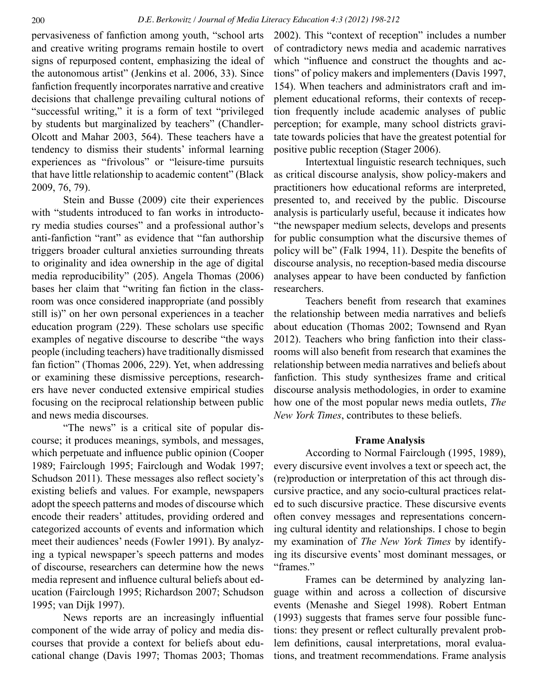pervasiveness of fanfiction among youth, "school arts and creative writing programs remain hostile to overt signs of repurposed content, emphasizing the ideal of the autonomous artist" (Jenkins et al. 2006, 33). Since fanfiction frequently incorporates narrative and creative decisions that challenge prevailing cultural notions of "successful writing," it is a form of text "privileged by students but marginalized by teachers" (Chandler-Olcott and Mahar 2003, 564). These teachers have a tendency to dismiss their students' informal learning experiences as "frivolous" or "leisure-time pursuits that have little relationship to academic content" (Black 2009, 76, 79).

Stein and Busse (2009) cite their experiences with "students introduced to fan works in introductory media studies courses" and a professional author's anti-fanfiction "rant" as evidence that "fan authorship triggers broader cultural anxieties surrounding threats to originality and idea ownership in the age of digital media reproducibility" (205). Angela Thomas (2006) bases her claim that "writing fan fiction in the classroom was once considered inappropriate (and possibly still is)" on her own personal experiences in a teacher education program (229). These scholars use specific examples of negative discourse to describe "the ways people (including teachers) have traditionally dismissed fan fiction" (Thomas 2006, 229). Yet, when addressing or examining these dismissive perceptions, researchers have never conducted extensive empirical studies focusing on the reciprocal relationship between public and news media discourses.

"The news" is a critical site of popular discourse; it produces meanings, symbols, and messages, which perpetuate and influence public opinion (Cooper 1989; Fairclough 1995; Fairclough and Wodak 1997; Schudson 2011). These messages also reflect society's existing beliefs and values. For example, newspapers adopt the speech patterns and modes of discourse which encode their readers' attitudes, providing ordered and categorized accounts of events and information which meet their audiences' needs (Fowler 1991). By analyzing a typical newspaper's speech patterns and modes of discourse, researchers can determine how the news media represent and influence cultural beliefs about education (Fairclough 1995; Richardson 2007; Schudson 1995; van Dijk 1997).

News reports are an increasingly influential component of the wide array of policy and media discourses that provide a context for beliefs about educational change (Davis 1997; Thomas 2003; Thomas 2002). This "context of reception" includes a number of contradictory news media and academic narratives which "influence and construct the thoughts and actions" of policy makers and implementers (Davis 1997, 154). When teachers and administrators craft and implement educational reforms, their contexts of reception frequently include academic analyses of public perception; for example, many school districts gravitate towards policies that have the greatest potential for positive public reception (Stager 2006).

Intertextual linguistic research techniques, such as critical discourse analysis, show policy-makers and practitioners how educational reforms are interpreted, presented to, and received by the public. Discourse analysis is particularly useful, because it indicates how "the newspaper medium selects, develops and presents for public consumption what the discursive themes of policy will be" (Falk 1994, 11). Despite the benefits of discourse analysis, no reception-based media discourse analyses appear to have been conducted by fanfiction researchers.

Teachers benefit from research that examines the relationship between media narratives and beliefs about education (Thomas 2002; Townsend and Ryan 2012). Teachers who bring fanfiction into their classrooms will also benefit from research that examines the relationship between media narratives and beliefs about fanfiction. This study synthesizes frame and critical discourse analysis methodologies, in order to examine how one of the most popular news media outlets, *The New York Times*, contributes to these beliefs.

#### **Frame Analysis**

According to Normal Fairclough (1995, 1989), every discursive event involves a text or speech act, the (re)production or interpretation of this act through discursive practice, and any socio-cultural practices related to such discursive practice. These discursive events often convey messages and representations concerning cultural identity and relationships. I chose to begin my examination of *The New York Times* by identifying its discursive events' most dominant messages, or "frames."

Frames can be determined by analyzing language within and across a collection of discursive events (Menashe and Siegel 1998). Robert Entman (1993) suggests that frames serve four possible functions: they present or reflect culturally prevalent problem definitions, causal interpretations, moral evaluations, and treatment recommendations. Frame analysis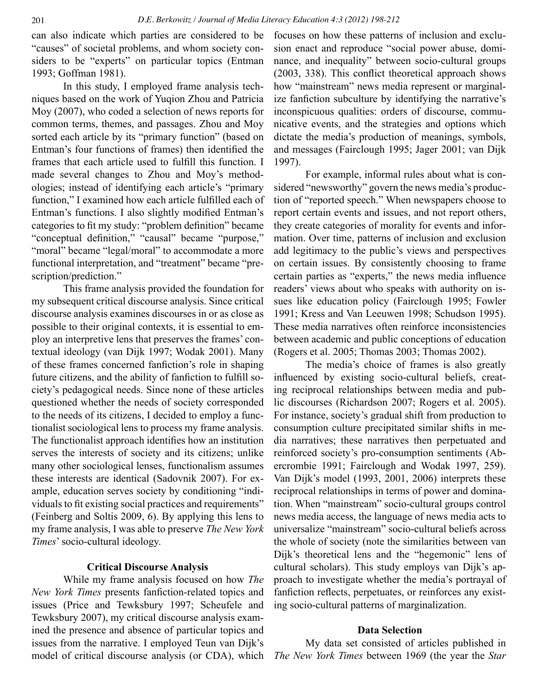can also indicate which parties are considered to be "causes" of societal problems, and whom society considers to be "experts" on particular topics (Entman 1993; Goffman 1981).

In this study, I employed frame analysis techniques based on the work of Yuqion Zhou and Patricia Moy (2007), who coded a selection of news reports for common terms, themes, and passages. Zhou and Moy sorted each article by its "primary function" (based on Entman's four functions of frames) then identified the frames that each article used to fulfill this function. I made several changes to Zhou and Moy's methodologies; instead of identifying each article's "primary function," I examined how each article fulfilled each of Entman's functions. I also slightly modified Entman's categories to fit my study: "problem definition" became "conceptual definition," "causal" became "purpose," "moral" became "legal/moral" to accommodate a more functional interpretation, and "treatment" became "prescription/prediction."

This frame analysis provided the foundation for my subsequent critical discourse analysis. Since critical discourse analysis examines discourses in or as close as possible to their original contexts, it is essential to employ an interpretive lens that preserves the frames' contextual ideology (van Dijk 1997; Wodak 2001). Many of these frames concerned fanfiction's role in shaping future citizens, and the ability of fanfiction to fulfill society's pedagogical needs. Since none of these articles questioned whether the needs of society corresponded to the needs of its citizens, I decided to employ a functionalist sociological lens to process my frame analysis. The functionalist approach identifies how an institution serves the interests of society and its citizens; unlike many other sociological lenses, functionalism assumes these interests are identical (Sadovnik 2007). For example, education serves society by conditioning "individuals to fit existing social practices and requirements" (Feinberg and Soltis 2009, 6). By applying this lens to my frame analysis, I was able to preserve *The New York Times*' socio-cultural ideology.

### **Critical Discourse Analysis**

While my frame analysis focused on how *The New York Times* presents fanfiction-related topics and issues (Price and Tewksbury 1997; Scheufele and Tewksbury 2007), my critical discourse analysis examined the presence and absence of particular topics and issues from the narrative. I employed Teun van Dijk's model of critical discourse analysis (or CDA), which focuses on how these patterns of inclusion and exclusion enact and reproduce "social power abuse, dominance, and inequality" between socio-cultural groups (2003, 338). This conflict theoretical approach shows how "mainstream" news media represent or marginalize fanfiction subculture by identifying the narrative's inconspicuous qualities: orders of discourse, communicative events, and the strategies and options which dictate the media's production of meanings, symbols, and messages (Fairclough 1995; Jager 2001; van Dijk 1997).

For example, informal rules about what is considered "newsworthy" govern the news media's production of "reported speech." When newspapers choose to report certain events and issues, and not report others, they create categories of morality for events and information. Over time, patterns of inclusion and exclusion add legitimacy to the public's views and perspectives on certain issues. By consistently choosing to frame certain parties as "experts," the news media influence readers' views about who speaks with authority on issues like education policy (Fairclough 1995; Fowler 1991; Kress and Van Leeuwen 1998; Schudson 1995). These media narratives often reinforce inconsistencies between academic and public conceptions of education (Rogers et al. 2005; Thomas 2003; Thomas 2002).

The media's choice of frames is also greatly influenced by existing socio-cultural beliefs, creating reciprocal relationships between media and public discourses (Richardson 2007; Rogers et al. 2005). For instance, society's gradual shift from production to consumption culture precipitated similar shifts in media narratives; these narratives then perpetuated and reinforced society's pro-consumption sentiments (Abercrombie 1991; Fairclough and Wodak 1997, 259). Van Dijk's model (1993, 2001, 2006) interprets these reciprocal relationships in terms of power and domination. When "mainstream" socio-cultural groups control news media access, the language of news media acts to universalize "mainstream" socio-cultural beliefs across the whole of society (note the similarities between van Dijk's theoretical lens and the "hegemonic" lens of cultural scholars). This study employs van Dijk's approach to investigate whether the media's portrayal of fanfiction reflects, perpetuates, or reinforces any existing socio-cultural patterns of marginalization.

## **Data Selection**

My data set consisted of articles published in *The New York Times* between 1969 (the year the *Star*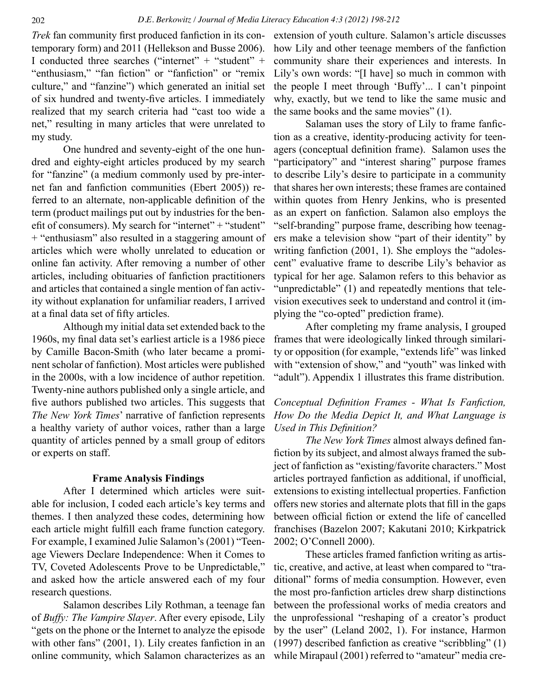*Trek* fan community first produced fanfiction in its contemporary form) and 2011 (Hellekson and Busse 2006). I conducted three searches ("internet" + "student" + "enthusiasm," "fan fiction" or "fanfiction" or "remix culture," and "fanzine") which generated an initial set of six hundred and twenty-five articles. I immediately realized that my search criteria had "cast too wide a net," resulting in many articles that were unrelated to my study.

One hundred and seventy-eight of the one hundred and eighty-eight articles produced by my search for "fanzine" (a medium commonly used by pre-internet fan and fanfiction communities (Ebert 2005)) referred to an alternate, non-applicable definition of the term (product mailings put out by industries for the benefit of consumers). My search for "internet" + "student" + "enthusiasm" also resulted in a staggering amount of articles which were wholly unrelated to education or online fan activity. After removing a number of other articles, including obituaries of fanfiction practitioners and articles that contained a single mention of fan activity without explanation for unfamiliar readers, I arrived at a final data set of fifty articles.

Although my initial data set extended back to the 1960s, my final data set's earliest article is a 1986 piece by Camille Bacon-Smith (who later became a prominent scholar of fanfiction). Most articles were published in the 2000s, with a low incidence of author repetition. Twenty-nine authors published only a single article, and five authors published two articles. This suggests that *The New York Times*' narrative of fanfiction represents a healthy variety of author voices, rather than a large quantity of articles penned by a small group of editors or experts on staff.

## **Frame Analysis Findings**

After I determined which articles were suitable for inclusion, I coded each article's key terms and themes. I then analyzed these codes, determining how each article might fulfill each frame function category. For example, I examined Julie Salamon's (2001) "Teenage Viewers Declare Independence: When it Comes to TV, Coveted Adolescents Prove to be Unpredictable," and asked how the article answered each of my four research questions.

Salamon describes Lily Rothman, a teenage fan of *Buffy: The Vampire Slayer*. After every episode, Lily "gets on the phone or the Internet to analyze the episode with other fans" (2001, 1). Lily creates fanfiction in an online community, which Salamon characterizes as an

extension of youth culture. Salamon's article discusses how Lily and other teenage members of the fanfiction community share their experiences and interests. In Lily's own words: "[I have] so much in common with the people I meet through 'Buffy'... I can't pinpoint why, exactly, but we tend to like the same music and the same books and the same movies" (1).

Salaman uses the story of Lily to frame fanfiction as a creative, identity-producing activity for teenagers (conceptual definition frame). Salamon uses the "participatory" and "interest sharing" purpose frames to describe Lily's desire to participate in a community that shares her own interests; these frames are contained within quotes from Henry Jenkins, who is presented as an expert on fanfiction. Salamon also employs the "self-branding" purpose frame, describing how teenagers make a television show "part of their identity" by writing fanfiction (2001, 1). She employs the "adolescent" evaluative frame to describe Lily's behavior as typical for her age. Salamon refers to this behavior as "unpredictable" (1) and repeatedly mentions that television executives seek to understand and control it (implying the "co-opted" prediction frame).

After completing my frame analysis, I grouped frames that were ideologically linked through similarity or opposition (for example, "extends life" was linked with "extension of show," and "youth" was linked with "adult"). Appendix 1 illustrates this frame distribution.

# *Conceptual Definition Frames - What Is Fanfiction, How Do the Media Depict It, and What Language is Used in This Definition?*

*The New York Times* almost always defined fanfiction by its subject, and almost always framed the subject of fanfiction as "existing/favorite characters." Most articles portrayed fanfiction as additional, if unofficial, extensions to existing intellectual properties. Fanfiction offers new stories and alternate plots that fill in the gaps between official fiction or extend the life of cancelled franchises (Bazelon 2007; Kakutani 2010; Kirkpatrick 2002; O'Connell 2000).

These articles framed fanfiction writing as artistic, creative, and active, at least when compared to "traditional" forms of media consumption. However, even the most pro-fanfiction articles drew sharp distinctions between the professional works of media creators and the unprofessional "reshaping of a creator's product by the user" (Leland 2002, 1). For instance, Harmon (1997) described fanfiction as creative "scribbling" (1) while Mirapaul (2001) referred to "amateur" media cre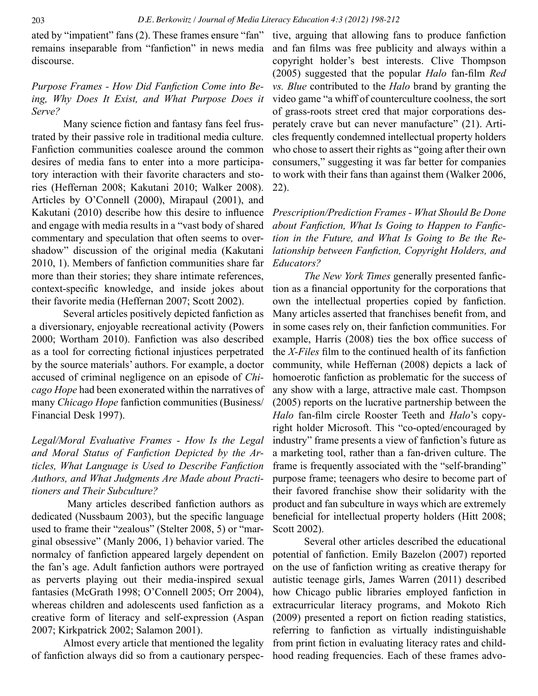ated by "impatient" fans (2). These frames ensure "fan" remains inseparable from "fanfiction" in news media discourse.

# *Purpose Frames - How Did Fanfiction Come into Being, Why Does It Exist, and What Purpose Does it Serve?*

Many science fiction and fantasy fans feel frustrated by their passive role in traditional media culture. Fanfiction communities coalesce around the common desires of media fans to enter into a more participatory interaction with their favorite characters and stories (Heffernan 2008; Kakutani 2010; Walker 2008). Articles by O'Connell (2000), Mirapaul (2001), and Kakutani (2010) describe how this desire to influence and engage with media results in a "vast body of shared commentary and speculation that often seems to overshadow" discussion of the original media (Kakutani 2010, 1). Members of fanfiction communities share far more than their stories; they share intimate references, context-specific knowledge, and inside jokes about their favorite media (Heffernan 2007; Scott 2002).

Several articles positively depicted fanfiction as a diversionary, enjoyable recreational activity (Powers 2000; Wortham 2010). Fanfiction was also described as a tool for correcting fictional injustices perpetrated by the source materials' authors. For example, a doctor accused of criminal negligence on an episode of *Chicago Hope* had been exonerated within the narratives of many *Chicago Hope* fanfiction communities (Business/ Financial Desk 1997).

*Legal/Moral Evaluative Frames - How Is the Legal and Moral Status of Fanfiction Depicted by the Articles, What Language is Used to Describe Fanfiction Authors, and What Judgments Are Made about Practitioners and Their Subculture?*

 Many articles described fanfiction authors as dedicated (Nussbaum 2003), but the specific language used to frame their "zealous" (Stelter 2008, 5) or "marginal obsessive" (Manly 2006, 1) behavior varied. The normalcy of fanfiction appeared largely dependent on the fan's age. Adult fanfiction authors were portrayed as perverts playing out their media-inspired sexual fantasies (McGrath 1998; O'Connell 2005; Orr 2004), whereas children and adolescents used fanfiction as a creative form of literacy and self-expression (Aspan 2007; Kirkpatrick 2002; Salamon 2001).

Almost every article that mentioned the legality of fanfiction always did so from a cautionary perspective, arguing that allowing fans to produce fanfiction and fan films was free publicity and always within a copyright holder's best interests. Clive Thompson (2005) suggested that the popular *Halo* fan-film *Red vs. Blue* contributed to the *Halo* brand by granting the video game "a whiff of counterculture coolness, the sort of grass-roots street cred that major corporations desperately crave but can never manufacture" (21). Articles frequently condemned intellectual property holders who chose to assert their rights as "going after their own consumers," suggesting it was far better for companies to work with their fans than against them (Walker 2006, 22).

*Prescription/Prediction Frames - What Should Be Done about Fanfiction, What Is Going to Happen to Fanfiction in the Future, and What Is Going to Be the Relationship between Fanfiction, Copyright Holders, and Educators?*

*The New York Times* generally presented fanfiction as a financial opportunity for the corporations that own the intellectual properties copied by fanfiction. Many articles asserted that franchises benefit from, and in some cases rely on, their fanfiction communities. For example, Harris (2008) ties the box office success of the *X-Files* film to the continued health of its fanfiction community, while Heffernan (2008) depicts a lack of homoerotic fanfiction as problematic for the success of any show with a large, attractive male cast. Thompson (2005) reports on the lucrative partnership between the *Halo* fan-film circle Rooster Teeth and *Halo*'s copyright holder Microsoft. This "co-opted/encouraged by industry" frame presents a view of fanfiction's future as a marketing tool, rather than a fan-driven culture. The frame is frequently associated with the "self-branding" purpose frame; teenagers who desire to become part of their favored franchise show their solidarity with the product and fan subculture in ways which are extremely beneficial for intellectual property holders (Hitt 2008; Scott 2002).

Several other articles described the educational potential of fanfiction. Emily Bazelon (2007) reported on the use of fanfiction writing as creative therapy for autistic teenage girls, James Warren (2011) described how Chicago public libraries employed fanfiction in extracurricular literacy programs, and Mokoto Rich (2009) presented a report on fiction reading statistics, referring to fanfiction as virtually indistinguishable from print fiction in evaluating literacy rates and childhood reading frequencies. Each of these frames advo-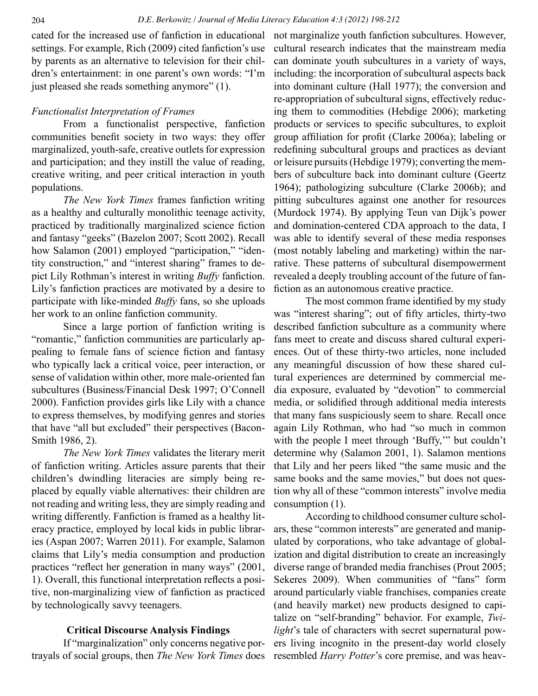cated for the increased use of fanfiction in educational settings. For example, Rich (2009) cited fanfiction's use by parents as an alternative to television for their children's entertainment: in one parent's own words: "I'm just pleased she reads something anymore" (1).

### *Functionalist Interpretation of Frames*

From a functionalist perspective, fanfiction communities benefit society in two ways: they offer marginalized, youth-safe, creative outlets for expression and participation; and they instill the value of reading, creative writing, and peer critical interaction in youth populations.

*The New York Times* frames fanfiction writing as a healthy and culturally monolithic teenage activity, practiced by traditionally marginalized science fiction and fantasy "geeks" (Bazelon 2007; Scott 2002). Recall how Salamon (2001) employed "participation," "identity construction," and "interest sharing" frames to depict Lily Rothman's interest in writing *Buffy* fanfiction. Lily's fanfiction practices are motivated by a desire to participate with like-minded *Buffy* fans, so she uploads her work to an online fanfiction community.

Since a large portion of fanfiction writing is "romantic," fanfiction communities are particularly appealing to female fans of science fiction and fantasy who typically lack a critical voice, peer interaction, or sense of validation within other, more male-oriented fan subcultures (Business/Financial Desk 1997; O'Connell 2000). Fanfiction provides girls like Lily with a chance to express themselves, by modifying genres and stories that have "all but excluded" their perspectives (Bacon-Smith 1986, 2).

*The New York Times* validates the literary merit of fanfiction writing. Articles assure parents that their children's dwindling literacies are simply being replaced by equally viable alternatives: their children are not reading and writing less, they are simply reading and writing differently. Fanfiction is framed as a healthy literacy practice, employed by local kids in public libraries (Aspan 2007; Warren 2011). For example, Salamon claims that Lily's media consumption and production practices "reflect her generation in many ways" (2001, 1). Overall, this functional interpretation reflects a positive, non-marginalizing view of fanfiction as practiced by technologically savvy teenagers.

### **Critical Discourse Analysis Findings**

If "marginalization" only concerns negative portrayals of social groups, then *The New York Times* does not marginalize youth fanfiction subcultures. However, cultural research indicates that the mainstream media can dominate youth subcultures in a variety of ways, including: the incorporation of subcultural aspects back into dominant culture (Hall 1977); the conversion and re-appropriation of subcultural signs, effectively reducing them to commodities (Hebdige 2006); marketing products or services to specific subcultures, to exploit group affiliation for profit (Clarke 2006a); labeling or redefining subcultural groups and practices as deviant or leisure pursuits (Hebdige 1979); converting the members of subculture back into dominant culture (Geertz 1964); pathologizing subculture (Clarke 2006b); and pitting subcultures against one another for resources (Murdock 1974). By applying Teun van Dijk's power and domination-centered CDA approach to the data, I was able to identify several of these media responses (most notably labeling and marketing) within the narrative. These patterns of subcultural disempowerment revealed a deeply troubling account of the future of fanfiction as an autonomous creative practice.

The most common frame identified by my study was "interest sharing"; out of fifty articles, thirty-two described fanfiction subculture as a community where fans meet to create and discuss shared cultural experiences. Out of these thirty-two articles, none included any meaningful discussion of how these shared cultural experiences are determined by commercial media exposure, evaluated by "devotion" to commercial media, or solidified through additional media interests that many fans suspiciously seem to share. Recall once again Lily Rothman, who had "so much in common with the people I meet through 'Buffy,'" but couldn't determine why (Salamon 2001, 1). Salamon mentions that Lily and her peers liked "the same music and the same books and the same movies," but does not question why all of these "common interests" involve media consumption (1).

According to childhood consumer culture scholars, these "common interests" are generated and manipulated by corporations, who take advantage of globalization and digital distribution to create an increasingly diverse range of branded media franchises (Prout 2005; Sekeres 2009). When communities of "fans" form around particularly viable franchises, companies create (and heavily market) new products designed to capitalize on "self-branding" behavior. For example, *Twilight*'s tale of characters with secret supernatural powers living incognito in the present-day world closely resembled *Harry Potter*'s core premise, and was heav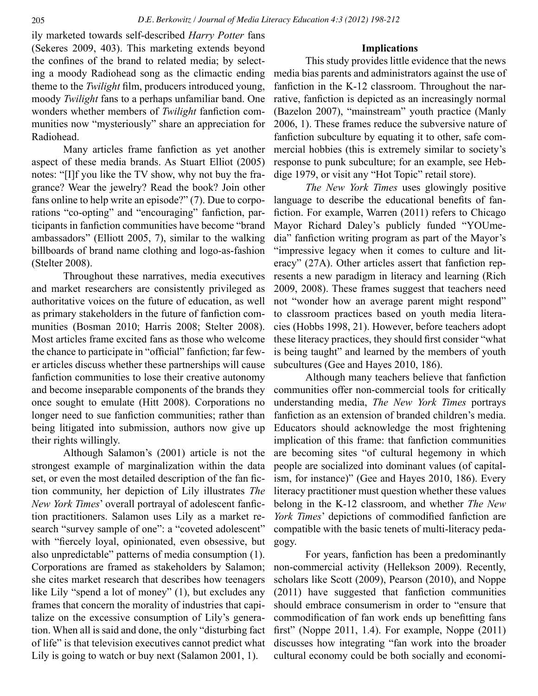ily marketed towards self-described *Harry Potter* fans (Sekeres 2009, 403). This marketing extends beyond the confines of the brand to related media; by selecting a moody Radiohead song as the climactic ending theme to the *Twilight* film, producers introduced young, moody *Twilight* fans to a perhaps unfamiliar band. One wonders whether members of *Twilight* fanfiction communities now "mysteriously" share an appreciation for Radiohead.

Many articles frame fanfiction as yet another aspect of these media brands. As Stuart Elliot (2005) notes: "[I]f you like the TV show, why not buy the fragrance? Wear the jewelry? Read the book? Join other fans online to help write an episode?" (7). Due to corporations "co-opting" and "encouraging" fanfiction, participants in fanfiction communities have become "brand ambassadors" (Elliott 2005, 7), similar to the walking billboards of brand name clothing and logo-as-fashion (Stelter 2008).

Throughout these narratives, media executives and market researchers are consistently privileged as authoritative voices on the future of education, as well as primary stakeholders in the future of fanfiction communities (Bosman 2010; Harris 2008; Stelter 2008). Most articles frame excited fans as those who welcome the chance to participate in "official" fanfiction; far fewer articles discuss whether these partnerships will cause fanfiction communities to lose their creative autonomy and become inseparable components of the brands they once sought to emulate (Hitt 2008). Corporations no longer need to sue fanfiction communities; rather than being litigated into submission, authors now give up their rights willingly.

Although Salamon's (2001) article is not the strongest example of marginalization within the data set, or even the most detailed description of the fan fiction community, her depiction of Lily illustrates *The New York Times*' overall portrayal of adolescent fanfiction practitioners. Salamon uses Lily as a market research "survey sample of one": a "coveted adolescent" with "fiercely loyal, opinionated, even obsessive, but also unpredictable" patterns of media consumption (1). Corporations are framed as stakeholders by Salamon; she cites market research that describes how teenagers like Lily "spend a lot of money" (1), but excludes any frames that concern the morality of industries that capitalize on the excessive consumption of Lily's generation. When all is said and done, the only "disturbing fact of life" is that television executives cannot predict what Lily is going to watch or buy next (Salamon 2001, 1).

### **Implications**

This study provides little evidence that the news media bias parents and administrators against the use of fanfiction in the K-12 classroom. Throughout the narrative, fanfiction is depicted as an increasingly normal (Bazelon 2007), "mainstream" youth practice (Manly 2006, 1). These frames reduce the subversive nature of fanfiction subculture by equating it to other, safe commercial hobbies (this is extremely similar to society's response to punk subculture; for an example, see Hebdige 1979, or visit any "Hot Topic" retail store).

*The New York Times* uses glowingly positive language to describe the educational benefits of fanfiction. For example, Warren (2011) refers to Chicago Mayor Richard Daley's publicly funded "YOUmedia" fanfiction writing program as part of the Mayor's "impressive legacy when it comes to culture and literacy" (27A). Other articles assert that fanfiction represents a new paradigm in literacy and learning (Rich 2009, 2008). These frames suggest that teachers need not "wonder how an average parent might respond" to classroom practices based on youth media literacies (Hobbs 1998, 21). However, before teachers adopt these literacy practices, they should first consider "what is being taught" and learned by the members of youth subcultures (Gee and Hayes 2010, 186).

Although many teachers believe that fanfiction communities offer non-commercial tools for critically understanding media, *The New York Times* portrays fanfiction as an extension of branded children's media. Educators should acknowledge the most frightening implication of this frame: that fanfiction communities are becoming sites "of cultural hegemony in which people are socialized into dominant values (of capitalism, for instance)" (Gee and Hayes 2010, 186). Every literacy practitioner must question whether these values belong in the K-12 classroom, and whether *The New York Times*' depictions of commodified fanfiction are compatible with the basic tenets of multi-literacy pedagogy.

For years, fanfiction has been a predominantly non-commercial activity (Hellekson 2009). Recently, scholars like Scott (2009), Pearson (2010), and Noppe (2011) have suggested that fanfiction communities should embrace consumerism in order to "ensure that commodification of fan work ends up benefitting fans first" (Noppe 2011, 1.4). For example, Noppe (2011) discusses how integrating "fan work into the broader cultural economy could be both socially and economi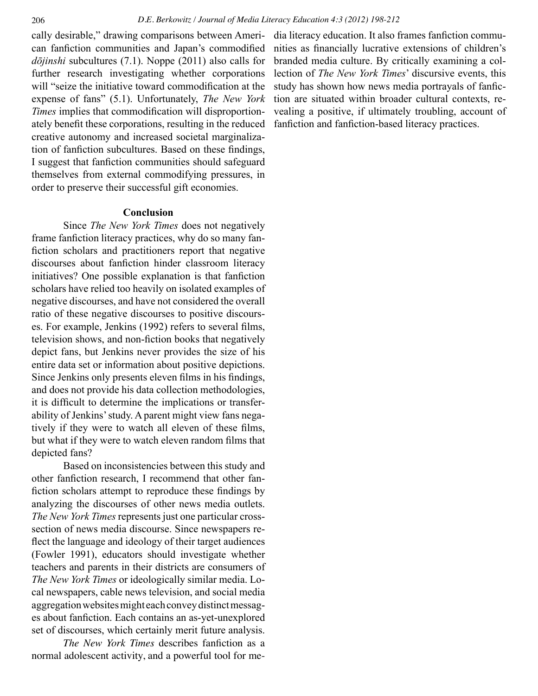cally desirable," drawing comparisons between American fanfiction communities and Japan's commodified *dōjinshi* subcultures (7.1). Noppe (2011) also calls for further research investigating whether corporations will "seize the initiative toward commodification at the expense of fans" (5.1). Unfortunately, *The New York Times* implies that commodification will disproportionately benefit these corporations, resulting in the reduced creative autonomy and increased societal marginalization of fanfiction subcultures. Based on these findings, I suggest that fanfiction communities should safeguard themselves from external commodifying pressures, in order to preserve their successful gift economies.

## **Conclusion**

Since *The New York Times* does not negatively frame fanfiction literacy practices, why do so many fanfiction scholars and practitioners report that negative discourses about fanfiction hinder classroom literacy initiatives? One possible explanation is that fanfiction scholars have relied too heavily on isolated examples of negative discourses, and have not considered the overall ratio of these negative discourses to positive discourses. For example, Jenkins (1992) refers to several films, television shows, and non-fiction books that negatively depict fans, but Jenkins never provides the size of his entire data set or information about positive depictions. Since Jenkins only presents eleven films in his findings, and does not provide his data collection methodologies, it is difficult to determine the implications or transferability of Jenkins' study. A parent might view fans negatively if they were to watch all eleven of these films, but what if they were to watch eleven random films that depicted fans?

Based on inconsistencies between this study and other fanfiction research, I recommend that other fanfiction scholars attempt to reproduce these findings by analyzing the discourses of other news media outlets. *The New York Times* represents just one particular crosssection of news media discourse. Since newspapers reflect the language and ideology of their target audiences (Fowler 1991), educators should investigate whether teachers and parents in their districts are consumers of *The New York Times* or ideologically similar media. Local newspapers, cable news television, and social media aggregation websites might each convey distinct messages about fanfiction. Each contains an as-yet-unexplored set of discourses, which certainly merit future analysis.

*The New York Times* describes fanfiction as a normal adolescent activity, and a powerful tool for media literacy education. It also frames fanfiction communities as financially lucrative extensions of children's branded media culture. By critically examining a collection of *The New York Times*' discursive events, this study has shown how news media portrayals of fanfiction are situated within broader cultural contexts, revealing a positive, if ultimately troubling, account of fanfiction and fanfiction-based literacy practices.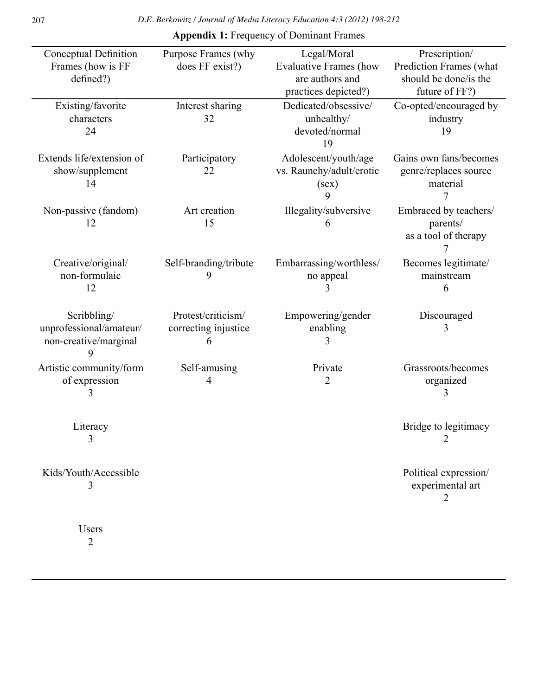| Conceptual Definition<br>Frames (how is FF<br>defined?)         | Purpose Frames (why<br>does FF exist?)          | Legal/Moral<br><b>Evaluative Frames (how</b><br>are authors and | Prescription/<br>Prediction Frames (what<br>should be done/is the |
|-----------------------------------------------------------------|-------------------------------------------------|-----------------------------------------------------------------|-------------------------------------------------------------------|
|                                                                 |                                                 | practices depicted?)                                            | future of FF?)                                                    |
| Existing/favorite<br>characters<br>24                           | Interest sharing<br>32                          | Dedicated/obsessive/<br>unhealthy/<br>devoted/normal<br>19      | Co-opted/encouraged by<br>industry<br>19                          |
| Extends life/extension of<br>show/supplement<br>14              | Participatory<br>22                             | Adolescent/youth/age<br>vs. Raunchy/adult/erotic<br>(sex)<br>9  | Gains own fans/becomes<br>genre/replaces source<br>material<br>7  |
| Non-passive (fandom)<br>12                                      | Art creation<br>15                              | Illegality/subversive<br>6                                      | Embraced by teachers/<br>parents/<br>as a tool of therapy<br>7    |
| Creative/original/<br>non-formulaic<br>12                       | Self-branding/tribute<br>9                      | Embarrassing/worthless/<br>no appeal                            | Becomes legitimate/<br>mainstream<br>6                            |
| Scribbling/<br>unprofessional/amateur/<br>non-creative/marginal | Protest/criticism/<br>correcting injustice<br>6 | Empowering/gender<br>enabling                                   | Discouraged<br>3                                                  |
| Artistic community/form<br>of expression<br>3                   | Self-amusing<br>4                               | Private<br>2                                                    | Grassroots/becomes<br>organized<br>3                              |
| Literacy                                                        |                                                 |                                                                 | Bridge to legitimacy                                              |
| Kids/Youth/Accessible<br>3                                      |                                                 |                                                                 | Political expression/<br>experimental art<br>$\overline{2}$       |
| Users<br>$\overline{2}$                                         |                                                 |                                                                 |                                                                   |

**Appendix 1:** Frequency of Dominant Frames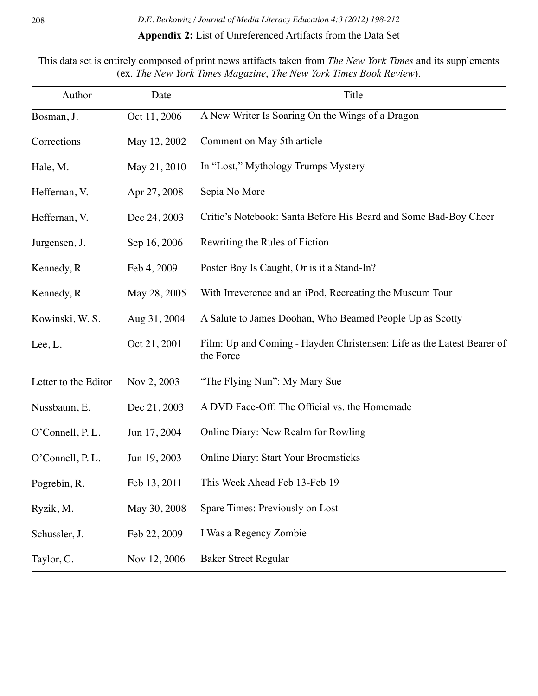# **Appendix 2:** List of Unreferenced Artifacts from the Data Set

This data set is entirely composed of print news artifacts taken from *The New York Times* and its supplements (ex. *The New York Times Magazine*, *The New York Times Book Review*).

| Author               | Date         | Title                                                                               |
|----------------------|--------------|-------------------------------------------------------------------------------------|
| Bosman, J.           | Oct 11, 2006 | A New Writer Is Soaring On the Wings of a Dragon                                    |
| Corrections          | May 12, 2002 | Comment on May 5th article                                                          |
| Hale, M.             | May 21, 2010 | In "Lost," Mythology Trumps Mystery                                                 |
| Heffernan, V.        | Apr 27, 2008 | Sepia No More                                                                       |
| Heffernan, V.        | Dec 24, 2003 | Critic's Notebook: Santa Before His Beard and Some Bad-Boy Cheer                    |
| Jurgensen, J.        | Sep 16, 2006 | Rewriting the Rules of Fiction                                                      |
| Kennedy, R.          | Feb 4, 2009  | Poster Boy Is Caught, Or is it a Stand-In?                                          |
| Kennedy, R.          | May 28, 2005 | With Irreverence and an iPod, Recreating the Museum Tour                            |
| Kowinski, W. S.      | Aug 31, 2004 | A Salute to James Doohan, Who Beamed People Up as Scotty                            |
| Lee, L.              | Oct 21, 2001 | Film: Up and Coming - Hayden Christensen: Life as the Latest Bearer of<br>the Force |
| Letter to the Editor | Nov 2, 2003  | "The Flying Nun": My Mary Sue                                                       |
| Nussbaum, E.         | Dec 21, 2003 | A DVD Face-Off: The Official vs. the Homemade                                       |
| O'Connell, P.L.      | Jun 17, 2004 | Online Diary: New Realm for Rowling                                                 |
| O'Connell, P.L.      | Jun 19, 2003 | <b>Online Diary: Start Your Broomsticks</b>                                         |
| Pogrebin, R.         | Feb 13, 2011 | This Week Ahead Feb 13-Feb 19                                                       |
| Ryzik, M.            | May 30, 2008 | Spare Times: Previously on Lost                                                     |
| Schussler, J.        | Feb 22, 2009 | I Was a Regency Zombie                                                              |
| Taylor, C.           | Nov 12, 2006 | <b>Baker Street Regular</b>                                                         |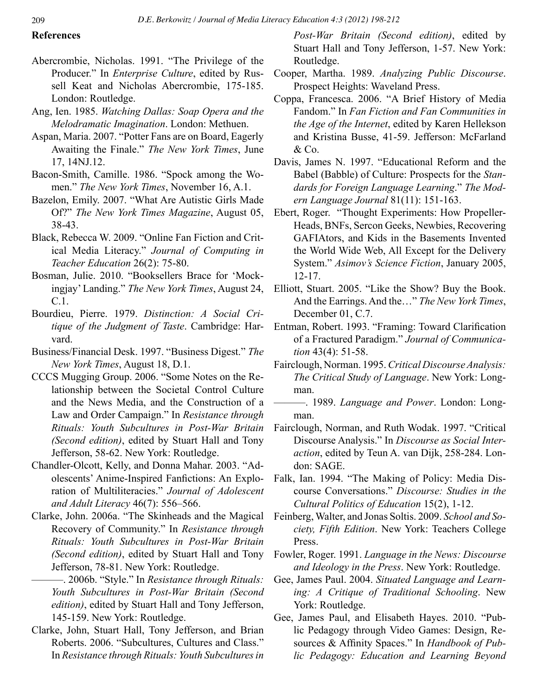## **References**

- Abercrombie, Nicholas. 1991. "The Privilege of the Producer." In *Enterprise Culture*, edited by Russell Keat and Nicholas Abercrombie, 175-185. London: Routledge.
- Ang, Ien. 1985. *Watching Dallas: Soap Opera and the Melodramatic Imagination*. London: Methuen.
- Aspan, Maria. 2007. "Potter Fans are on Board, Eagerly Awaiting the Finale." *The New York Times*, June 17, 14NJ.12.
- Bacon-Smith, Camille. 1986. "Spock among the Women." *The New York Times*, November 16, A.1.
- Bazelon, Emily. 2007. "What Are Autistic Girls Made Of?" *The New York Times Magazine*, August 05, 38-43.
- Black, Rebecca W. 2009. "Online Fan Fiction and Critical Media Literacy." *Journal of Computing in Teacher Education* 26(2): 75-80.
- Bosman, Julie. 2010. "Booksellers Brace for 'Mockingjay' Landing." *The New York Times*, August 24, C.1.
- Bourdieu, Pierre. 1979. *Distinction: A Social Critique of the Judgment of Taste*. Cambridge: Harvard.
- Business/Financial Desk. 1997. "Business Digest." *The New York Times*, August 18, D.1.
- CCCS Mugging Group. 2006. "Some Notes on the Relationship between the Societal Control Culture and the News Media, and the Construction of a Law and Order Campaign." In *Resistance through Rituals: Youth Subcultures in Post-War Britain (Second edition)*, edited by Stuart Hall and Tony Jefferson, 58-62. New York: Routledge.
- Chandler-Olcott, Kelly, and Donna Mahar. 2003. "Adolescents' Anime-Inspired Fanfictions: An Exploration of Multiliteracies." *Journal of Adolescent and Adult Literacy* 46(7): 556–566.
- Clarke, John. 2006a. "The Skinheads and the Magical Recovery of Community." In *Resistance through Rituals: Youth Subcultures in Post-War Britain (Second edition)*, edited by Stuart Hall and Tony Jefferson, 78-81. New York: Routledge.
	- ———. 2006b. "Style." In *Resistance through Rituals: Youth Subcultures in Post-War Britain (Second edition)*, edited by Stuart Hall and Tony Jefferson, 145-159. New York: Routledge.
- Clarke, John, Stuart Hall, Tony Jefferson, and Brian Roberts. 2006. "Subcultures, Cultures and Class." In *Resistance through Rituals: Youth Subcultures in*

*Post-War Britain (Second edition)*, edited by Stuart Hall and Tony Jefferson, 1-57. New York: Routledge.

- Cooper, Martha. 1989. *Analyzing Public Discourse*. Prospect Heights: Waveland Press.
- Coppa, Francesca. 2006. "A Brief History of Media Fandom." In *Fan Fiction and Fan Communities in the Age of the Internet*, edited by Karen Hellekson and Kristina Busse, 41-59. Jefferson: McFarland & Co.
- Davis, James N. 1997. "Educational Reform and the Babel (Babble) of Culture: Prospects for the *Standards for Foreign Language Learning*." *The Modern Language Journal* 81(11): 151-163.
- Ebert, Roger. "Thought Experiments: How Propeller-Heads, BNFs, Sercon Geeks, Newbies, Recovering GAFIAtors, and Kids in the Basements Invented the World Wide Web, All Except for the Delivery System." *Asimov's Science Fiction*, January 2005, 12-17.
- Elliott, Stuart. 2005. "Like the Show? Buy the Book. And the Earrings. And the…" *The New York Times*, December 01, C.7.
- Entman, Robert. 1993. "Framing: Toward Clarification of a Fractured Paradigm." *Journal of Communication* 43(4): 51-58.
- Fairclough, Norman. 1995. *Critical Discourse Analysis: The Critical Study of Language*. New York: Longman.
- ———. 1989. *Language and Power*. London: Longman.
- Fairclough, Norman, and Ruth Wodak. 1997. "Critical Discourse Analysis." In *Discourse as Social Interaction*, edited by Teun A. van Dijk, 258-284. London: SAGE.
- Falk, Ian. 1994. "The Making of Policy: Media Discourse Conversations." *Discourse: Studies in the Cultural Politics of Education* 15(2), 1-12.
- Feinberg, Walter, and Jonas Soltis. 2009. *School and Society, Fifth Edition*. New York: Teachers College Press.
- Fowler, Roger. 1991. *Language in the News: Discourse and Ideology in the Press*. New York: Routledge.
- Gee, James Paul. 2004. *Situated Language and Learning: A Critique of Traditional Schooling*. New York: Routledge.
- Gee, James Paul, and Elisabeth Hayes. 2010. "Public Pedagogy through Video Games: Design, Resources & Affinity Spaces." In *Handbook of Public Pedagogy: Education and Learning Beyond*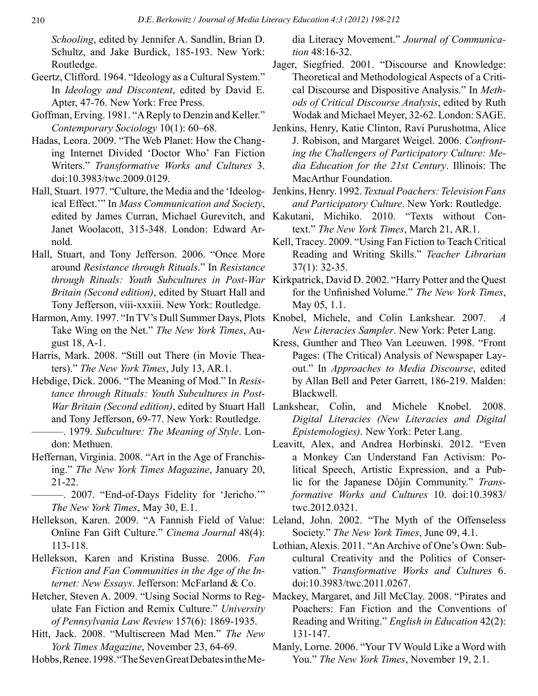*Schooling*, edited by Jennifer A. Sandlin, Brian D. Schultz, and Jake Burdick, 185-193. New York: Routledge.

- Geertz, Clifford. 1964. "Ideology as a Cultural System." In *Ideology and Discontent*, edited by David E. Apter, 47-76. New York: Free Press.
- Goffman, Erving. 1981. "A Reply to Denzin and Keller." *Contemporary Sociology* 10(1): 60–68.
- Hadas, Leora. 2009. "The Web Planet: How the Changing Internet Divided 'Doctor Who' Fan Fiction Writers." *Transformative Works and Cultures* 3. doi:10.3983/twc.2009.0129.
- Hall, Stuart. 1977. "Culture, the Media and the 'Ideological Effect.'" In *Mass Communication and Society*, Janet Woolacott, 315-348. London: Edward Arnold.
- Hall, Stuart, and Tony Jefferson. 2006. "Once More around *Resistance through Rituals*." In *Resistance Britain (Second edition)*, edited by Stuart Hall and Tony Jefferson, viii-xxxiii. New York: Routledge.
- Take Wing on the Net." *The New York Times*, August 18, A-1.
- Harris, Mark. 2008. "Still out There (in Movie Theaters)." *The New York Times*, July 13, AR.1.
- Hebdige, Dick. 2006. "The Meaning of Mod." In *Resistance through Rituals: Youth Subcultures in Post*and Tony Jefferson, 69-77. New York: Routledge. ———. 1979. *Subculture: The Meaning of Style*. London: Methuen.
- Heffernan, Virginia. 2008. "Art in the Age of Franchising." *The New York Times Magazine*, January 20, 21-22.
- ———. 2007. "End-of-Days Fidelity for 'Jericho.'" *The New York Times*, May 30, E.1.
- Hellekson, Karen. 2009. "A Fannish Field of Value: Leland, John. 2002. "The Myth of the Offenseless Online Fan Gift Culture." *Cinema Journal* 48(4): 113-118.
- Hellekson, Karen and Kristina Busse. 2006. *Fan Fiction and Fan Communities in the Age of the Internet: New Essays*. Jefferson: McFarland & Co.
- Hetcher, Steven A. 2009. "Using Social Norms to Reg-Mackey, Margaret, and Jill McClay. 2008. "Pirates and ulate Fan Fiction and Remix Culture." *University of Pennsylvania Law Review* 157(6): 1869-1935.
- Hitt, Jack. 2008. "Multiscreen Mad Men." *The New York Times Magazine*, November 23, 64-69.
- Hobbs, Renee. 1998. "The Seven Great Debates in the Me-

dia Literacy Movement." *Journal of Communication* 48:16-32.

- Jager, Siegfried. 2001. "Discourse and Knowledge: Theoretical and Methodological Aspects of a Critical Discourse and Dispositive Analysis." In *Methods of Critical Discourse Analysis*, edited by Ruth Wodak and Michael Meyer, 32-62. London: SAGE.
- Jenkins, Henry, Katie Clinton, Ravi Purushotma, Alice J. Robison, and Margaret Weigel. 2006. *Confronting the Challengers of Participatory Culture: Media Education for the 21st Century*. Illinois: The MacArthur Foundation.
- Jenkins, Henry. 1992. *Textual Poachers: Television Fans and Participatory Culture*. New York: Routledge.
- edited by James Curran, Michael Gurevitch, and Kakutani, Michiko. 2010. "Texts without Context." *The New York Times*, March 21, AR.1.
	- Kell, Tracey. 2009. "Using Fan Fiction to Teach Critical Reading and Writing Skills." *Teacher Librarian*  37(1): 32-35.
- *through Rituals: Youth Subcultures in Post-War*  Kirkpatrick, David D. 2002. "Harry Potter and the Quest for the Unfinished Volume." *The New York Times*, May 05, 1.1.
- Harmon, Amy. 1997. "In TV's Dull Summer Days, Plots Knobel, Michele, and Colin Lankshear. 2007. *A New Literacies Sampler*. New York: Peter Lang.
	- Kress, Gunther and Theo Van Leeuwen. 1998. "Front Pages: (The Critical) Analysis of Newspaper Layout." In *Approaches to Media Discourse*, edited by Allan Bell and Peter Garrett, 186-219. Malden: Blackwell.
	- *War Britain (Second edition)*, edited by Stuart Hall Lankshear, Colin, and Michele Knobel. 2008. *Digital Literacies (New Literacies and Digital Epistemologies)*. New York: Peter Lang.
		- Leavitt, Alex, and Andrea Horbinski. 2012. "Even a Monkey Can Understand Fan Activism: Political Speech, Artistic Expression, and a Public for the Japanese Dôjin Community." *Transformative Works and Cultures* 10. doi:10.3983/ twc.2012.0321.
		- Society." *The New York Times*, June 09, 4.1.
		- Lothian, Alexis. 2011. "An Archive of One's Own: Subcultural Creativity and the Politics of Conservation." *Transformative Works and Cultures* 6. doi:10.3983/twc.2011.0267.
		- Poachers: Fan Fiction and the Conventions of Reading and Writing." *English in Education* 42(2): 131-147.
		- Manly, Lorne. 2006. "Your TV Would Like a Word with You." *The New York Times*, November 19, 2.1.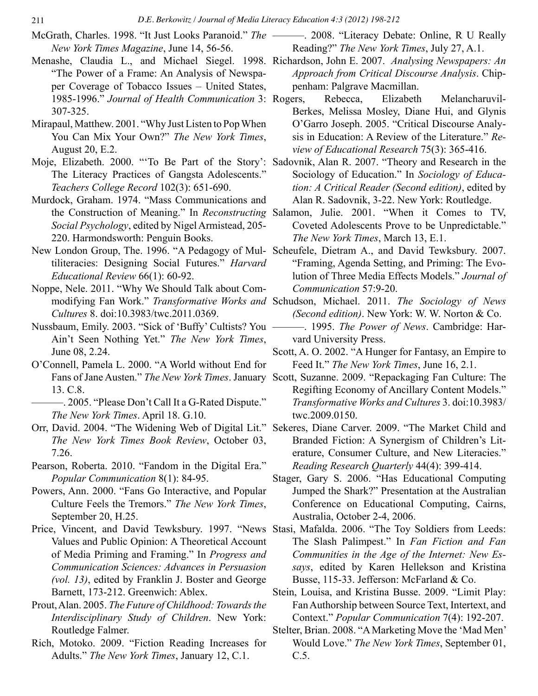- McGrath, Charles. 1998. "It Just Looks Paranoid." *The New York Times Magazine*, June 14, 56-56.
- Menashe, Claudia L., and Michael Siegel. 1998. Richardson, John E. 2007. *Analysing Newspapers: An* "The Power of a Frame: An Analysis of Newspaper Coverage of Tobacco Issues – United States, 1985-1996." *Journal of Health Communication* 3: 307-325.
- Mirapaul, Matthew. 2001. "Why Just Listen to Pop When You Can Mix Your Own?" *The New York Times*, August 20, E.2.
- Moje, Elizabeth. 2000. "'To Be Part of the Story': Sadovnik, Alan R. 2007. "Theory and Research in the The Literacy Practices of Gangsta Adolescents." *Teachers College Record* 102(3): 651-690.
- Murdock, Graham. 1974. "Mass Communications and *Social Psychology*, edited by Nigel Armistead, 205- 220. Harmondsworth: Penguin Books.
- New London Group, The. 1996. "A Pedagogy of Mul-Scheufele, Dietram A., and David Tewksbury. 2007. tiliteracies: Designing Social Futures." *Harvard Educational Review* 66(1): 60-92.
- Noppe, Nele. 2011. "Why We Should Talk about Com-*Cultures* 8. doi:10.3983/twc.2011.0369.
- Nussbaum, Emily. 2003. "Sick of 'Buffy' Cultists? You Ain't Seen Nothing Yet." *The New York Times*, June 08, 2.24.
- O'Connell, Pamela L. 2000. "A World without End for 13. C.8.
	- ———. 2005. "Please Don't Call It a G-Rated Dispute." *The New York Times*. April 18. G.10.
- Orr, David. 2004. "The Widening Web of Digital Lit." Sekeres, Diane Carver. 2009. "The Market Child and *The New York Times Book Review*, October 03, 7.26.
- Pearson, Roberta. 2010. "Fandom in the Digital Era." *Popular Communication* 8(1): 84-95.
- Powers, Ann. 2000. "Fans Go Interactive, and Popular Culture Feels the Tremors." *The New York Times*, September 20, H.25.
- Price, Vincent, and David Tewksbury. 1997. "News Stasi, Mafalda. 2006. "The Toy Soldiers from Leeds: Values and Public Opinion: A Theoretical Account of Media Priming and Framing." In *Progress and Communication Sciences: Advances in Persuasion (vol. 13)*, edited by Franklin J. Boster and George Barnett, 173-212. Greenwich: Ablex.
- Prout, Alan. 2005. *The Future of Childhood: Towards the Interdisciplinary Study of Children*. New York: Routledge Falmer.
- Rich, Motoko. 2009. "Fiction Reading Increases for Adults." *The New York Times*, January 12, C.1.
- ———. 2008. "Literacy Debate: Online, R U Really Reading?" *The New York Times*, July 27, A.1.
	- *Approach from Critical Discourse Analysis*. Chippenham: Palgrave Macmillan.
	- Rebecca, Elizabeth Melancharuvil-Berkes, Melissa Mosley, Diane Hui, and Glynis O'Garro Joseph. 2005. "Critical Discourse Analysis in Education: A Review of the Literature." *Review of Educational Research* 75(3): 365-416.
	- Sociology of Education." In *Sociology of Education: A Critical Reader (Second edition)*, edited by Alan R. Sadovnik, 3-22. New York: Routledge.
- the Construction of Meaning." In *Reconstructing*  Salamon, Julie. 2001. "When it Comes to TV, Coveted Adolescents Prove to be Unpredictable." *The New York Times*, March 13, E.1.
	- "Framing, Agenda Setting, and Priming: The Evolution of Three Media Effects Models." *Journal of Communication* 57:9-20.
- modifying Fan Work." *Transformative Works and*  Schudson, Michael. 2011. *The Sociology of News (Second edition)*. New York: W. W. Norton & Co.
	- ———. 1995. *The Power of News*. Cambridge: Harvard University Press.
	- Scott, A. O. 2002. "A Hunger for Fantasy, an Empire to Feed It." *The New York Times*, June 16, 2.1.
- Fans of Jane Austen." *The New York Times*. January Scott, Suzanne. 2009. "Repackaging Fan Culture: The Regifting Economy of Ancillary Content Models." *Transformative Works and Cultures* 3. doi:10.3983/ twc.2009.0150.
	- Branded Fiction: A Synergism of Children's Literature, Consumer Culture, and New Literacies." *Reading Research Quarterly* 44(4): 399-414.
	- Stager, Gary S. 2006. "Has Educational Computing Jumped the Shark?" Presentation at the Australian Conference on Educational Computing, Cairns, Australia, October 2-4, 2006.
	- The Slash Palimpest." In *Fan Fiction and Fan Communities in the Age of the Internet: New Essays*, edited by Karen Hellekson and Kristina Busse, 115-33. Jefferson: McFarland & Co.
	- Stein, Louisa, and Kristina Busse. 2009. "Limit Play: Fan Authorship between Source Text, Intertext, and Context." *Popular Communication* 7(4): 192-207.
	- Stelter, Brian. 2008. "A Marketing Move the 'Mad Men' Would Love." *The New York Times*, September 01, C.5.